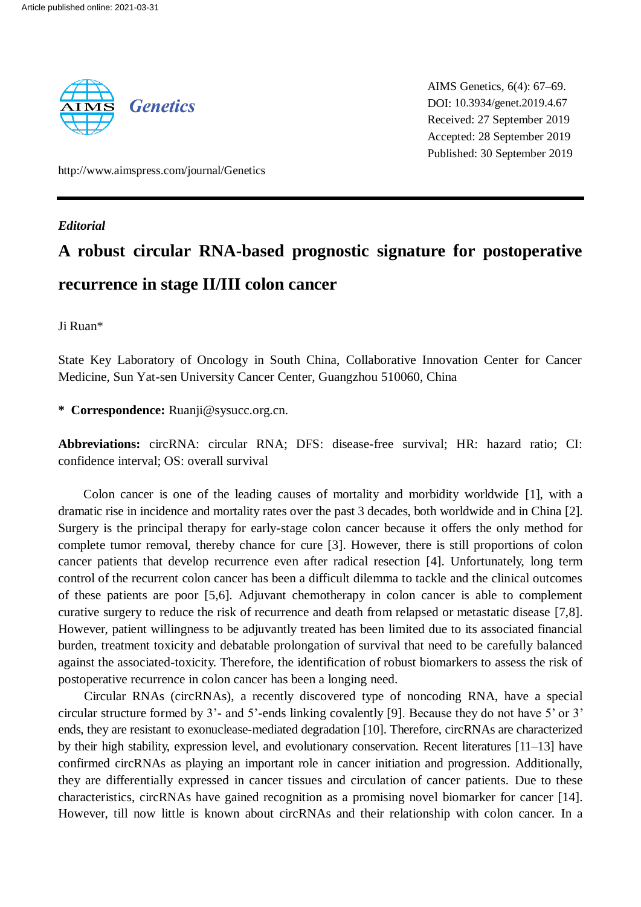

AIMS Genetics, 6(4): 67–69. DOI: 10.3934/genet.2019.4.67 Received: 27 September 2019 Accepted: 28 September 2019 Published: 30 September 2019

http://www.aimspress.com/journal/Genetics

#### *Editorial*

# **A robust circular RNA-based prognostic signature for postoperative recurrence in stage II/III colon cancer**

## Ji Ruan\*

State Key Laboratory of Oncology in South China, Collaborative Innovation Center for Cancer Medicine, Sun Yat-sen University Cancer Center, Guangzhou 510060, China

## **\* Correspondence:** Ruanji@sysucc.org.cn.

**Abbreviations:** circRNA: circular RNA; DFS: disease-free survival; HR: hazard ratio; CI: confidence interval; OS: overall survival

Colon cancer is one of the leading causes of mortality and morbidity worldwide [\[1\]](#page-1-0), with a dramatic rise in incidence and mortality rates over the past 3 decades, both worldwide and in China [\[2\]](#page-1-1). Surgery is the principal therapy for early-stage colon cancer because it offers the only method for complete tumor removal, thereby chance for cure [\[3\]](#page-2-0). However, there is still proportions of colon cancer patients that develop recurrence even after radical resection [\[4\]](#page-2-1). Unfortunately, long term control of the recurrent colon cancer has been a difficult dilemma to tackle and the clinical outcomes of these patients are poor [\[5](#page-2-2)[,6\]](#page-2-3). Adjuvant chemotherapy in colon cancer is able to complement curative surgery to reduce the risk of recurrence and death from relapsed or metastatic disease [\[7,](#page-2-4)[8\]](#page-2-5). However, patient willingness to be adjuvantly treated has been limited due to its associated financial burden, treatment toxicity and debatable prolongation of survival that need to be carefully balanced against the associated-toxicity. Therefore, the identification of robust biomarkers to assess the risk of postoperative recurrence in colon cancer has been a longing need.

Circular RNAs (circRNAs), a recently discovered type of noncoding RNA, have a special circular structure formed by 3'- and 5'-ends linking covalently [9]. Because they do not have 5' or 3' ends, they are resistant to exonuclease-mediated degradation [\[10\]](#page-2-6). Therefore, circRNAs are characterized by their high stability, expression level, and evolutionary conservation. Recent literatures [\[11–13\]](#page-2-7) have confirmed circRNAs as playing an important role in cancer initiation and progression. Additionally, they are differentially expressed in cancer tissues and circulation of cancer patients. Due to these characteristics, circRNAs have gained recognition as a promising novel biomarker for cancer [\[14\]](#page-2-8). However, till now little is known about circRNAs and their relationship with colon cancer. In a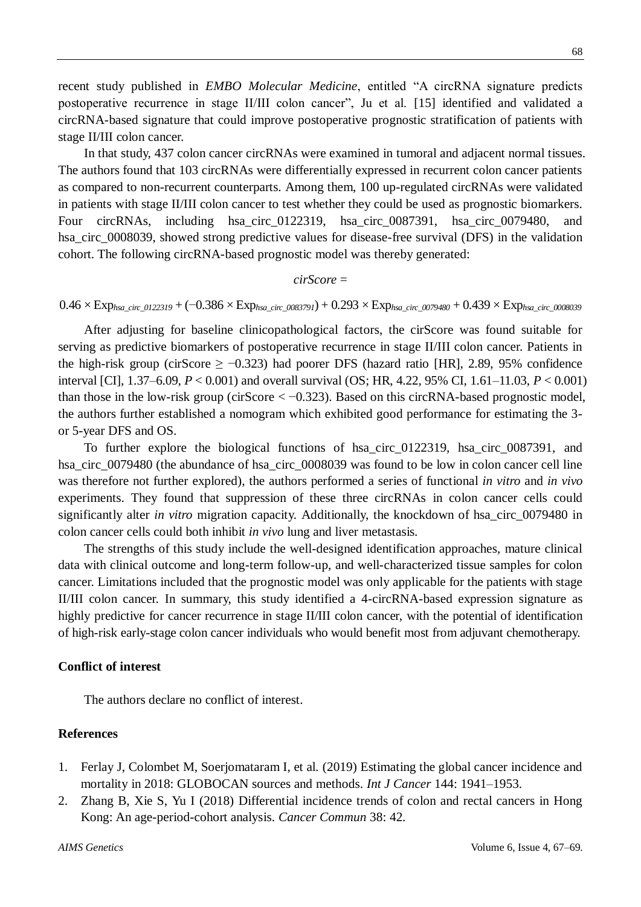recent study published in *EMBO Molecular Medicine*, entitled "A circRNA signature predicts postoperative recurrence in stage II/III colon cancer", Ju et al. [\[15\]](#page-2-9) identified and validated a circRNA-based signature that could improve postoperative prognostic stratification of patients with stage II/III colon cancer.

In that study, 437 colon cancer circRNAs were examined in tumoral and adjacent normal tissues. The authors found that 103 circRNAs were differentially expressed in recurrent colon cancer patients as compared to non-recurrent counterparts. Among them, 100 up-regulated circRNAs were validated in patients with stage II/III colon cancer to test whether they could be used as prognostic biomarkers. Four circRNAs, including hsa\_circ\_0122319, hsa\_circ\_0087391, hsa\_circ\_0079480, and hsa circ 0008039, showed strong predictive values for disease-free survival (DFS) in the validation cohort. The following circRNA-based prognostic model was thereby generated:

#### *cirScore* =

0.46 ×Exp*hsa\_circ\_0122319* + (−0.386 ×Exp*hsa\_circ\_0083791*) + 0.293 ×Exp*hsa\_circ\_0079480* + 0.439 ×Exp*hsa\_circ\_0008039*

After adjusting for baseline clinicopathological factors, the cirScore was found suitable for serving as predictive biomarkers of postoperative recurrence in stage II/III colon cancer. Patients in the high-risk group (cirScore  $\geq -0.323$ ) had poorer DFS (hazard ratio [HR], 2.89, 95% confidence interval [CI], 1.37–6.09, *P* < 0.001) and overall survival (OS; HR, 4.22, 95% CI, 1.61–11.03, *P* < 0.001) than those in the low-risk group (cirScore  $<-0.323$ ). Based on this circRNA-based prognostic model, the authors further established a nomogram which exhibited good performance for estimating the 3 or 5-year DFS and OS.

To further explore the biological functions of hsa\_circ\_0122319, hsa\_circ\_0087391, and hsa\_circ\_0079480 (the abundance of hsa\_circ\_0008039 was found to be low in colon cancer cell line was therefore not further explored), the authors performed a series of functional *in vitro* and *in vivo* experiments. They found that suppression of these three circRNAs in colon cancer cells could significantly alter *in vitro* migration capacity. Additionally, the knockdown of hsa\_circ\_0079480 in colon cancer cells could both inhibit *in vivo* lung and liver metastasis*.*

The strengths of this study include the well-designed identification approaches, mature clinical data with clinical outcome and long-term follow-up, and well-characterized tissue samples for colon cancer. Limitations included that the prognostic model was only applicable for the patients with stage II/III colon cancer. In summary, this study identified a 4-circRNA-based expression signature as highly predictive for cancer recurrence in stage II/III colon cancer, with the potential of identification of high-risk early-stage colon cancer individuals who would benefit most from adjuvant chemotherapy.

## **Conflict of interest**

The authors declare no conflict of interest.

#### **References**

- <span id="page-1-0"></span>1. Ferlay J, Colombet M, Soerjomataram I, et al. (2019) Estimating the global cancer incidence and mortality in 2018: GLOBOCAN sources and methods. *Int J Cancer* 144: 1941–1953.
- <span id="page-1-1"></span>2. Zhang B, Xie S, Yu I (2018) Differential incidence trends of colon and rectal cancers in Hong Kong: An age-period-cohort analysis. *Cancer Commun* 38: 42.